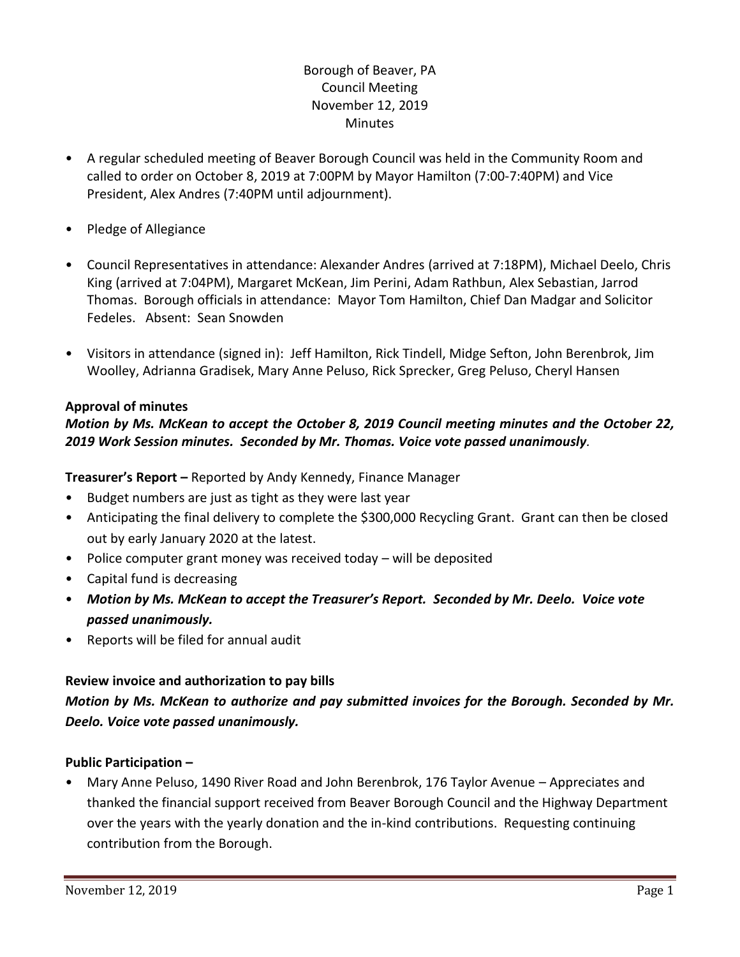# Borough of Beaver, PA Council Meeting November 12, 2019 **Minutes**

- A regular scheduled meeting of Beaver Borough Council was held in the Community Room and called to order on October 8, 2019 at 7:00PM by Mayor Hamilton (7:00-7:40PM) and Vice President, Alex Andres (7:40PM until adjournment).
- Pledge of Allegiance
- Council Representatives in attendance: Alexander Andres (arrived at 7:18PM), Michael Deelo, Chris King (arrived at 7:04PM), Margaret McKean, Jim Perini, Adam Rathbun, Alex Sebastian, Jarrod Thomas. Borough officials in attendance: Mayor Tom Hamilton, Chief Dan Madgar and Solicitor Fedeles. Absent: Sean Snowden
- Visitors in attendance (signed in): Jeff Hamilton, Rick Tindell, Midge Sefton, John Berenbrok, Jim Woolley, Adrianna Gradisek, Mary Anne Peluso, Rick Sprecker, Greg Peluso, Cheryl Hansen

### **Approval of minutes**

# *Motion by Ms. McKean to accept the October 8, 2019 Council meeting minutes and the October 22, 2019 Work Session minutes. Seconded by Mr. Thomas. Voice vote passed unanimously.*

**Treasurer's Report –** Reported by Andy Kennedy, Finance Manager

- Budget numbers are just as tight as they were last year
- Anticipating the final delivery to complete the \$300,000 Recycling Grant. Grant can then be closed out by early January 2020 at the latest.
- Police computer grant money was received today will be deposited
- Capital fund is decreasing
- *Motion by Ms. McKean to accept the Treasurer's Report. Seconded by Mr. Deelo. Voice vote passed unanimously.*
- Reports will be filed for annual audit

### **Review invoice and authorization to pay bills**

*Motion by Ms. McKean to authorize and pay submitted invoices for the Borough. Seconded by Mr. Deelo. Voice vote passed unanimously.*

### **Public Participation –**

• Mary Anne Peluso, 1490 River Road and John Berenbrok, 176 Taylor Avenue – Appreciates and thanked the financial support received from Beaver Borough Council and the Highway Department over the years with the yearly donation and the in-kind contributions. Requesting continuing contribution from the Borough.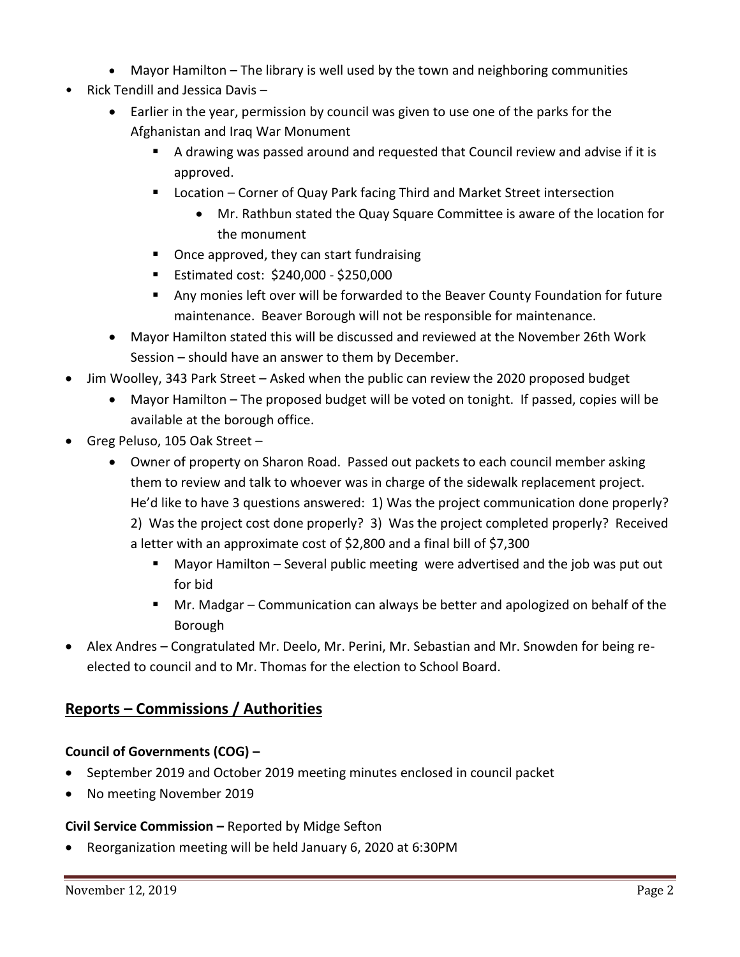- Mayor Hamilton The library is well used by the town and neighboring communities
- Rick Tendill and Jessica Davis
	- Earlier in the year, permission by council was given to use one of the parks for the Afghanistan and Iraq War Monument
		- A drawing was passed around and requested that Council review and advise if it is approved.
		- Location Corner of Quay Park facing Third and Market Street intersection
			- Mr. Rathbun stated the Quay Square Committee is aware of the location for the monument
		- Once approved, they can start fundraising
		- **Estimated cost: \$240,000 \$250,000**
		- Any monies left over will be forwarded to the Beaver County Foundation for future maintenance. Beaver Borough will not be responsible for maintenance.
	- Mayor Hamilton stated this will be discussed and reviewed at the November 26th Work Session – should have an answer to them by December.
- Jim Woolley, 343 Park Street Asked when the public can review the 2020 proposed budget
	- Mayor Hamilton The proposed budget will be voted on tonight. If passed, copies will be available at the borough office.
- Greg Peluso, 105 Oak Street
	- Owner of property on Sharon Road. Passed out packets to each council member asking them to review and talk to whoever was in charge of the sidewalk replacement project. He'd like to have 3 questions answered: 1) Was the project communication done properly? 2) Was the project cost done properly? 3) Was the project completed properly? Received a letter with an approximate cost of \$2,800 and a final bill of \$7,300
		- Mayor Hamilton Several public meeting were advertised and the job was put out for bid
		- Mr. Madgar Communication can always be better and apologized on behalf of the Borough
- Alex Andres Congratulated Mr. Deelo, Mr. Perini, Mr. Sebastian and Mr. Snowden for being reelected to council and to Mr. Thomas for the election to School Board.

# **Reports – Commissions / Authorities**

# **Council of Governments (COG) –**

- September 2019 and October 2019 meeting minutes enclosed in council packet
- No meeting November 2019

### **Civil Service Commission –** Reported by Midge Sefton

Reorganization meeting will be held January 6, 2020 at 6:30PM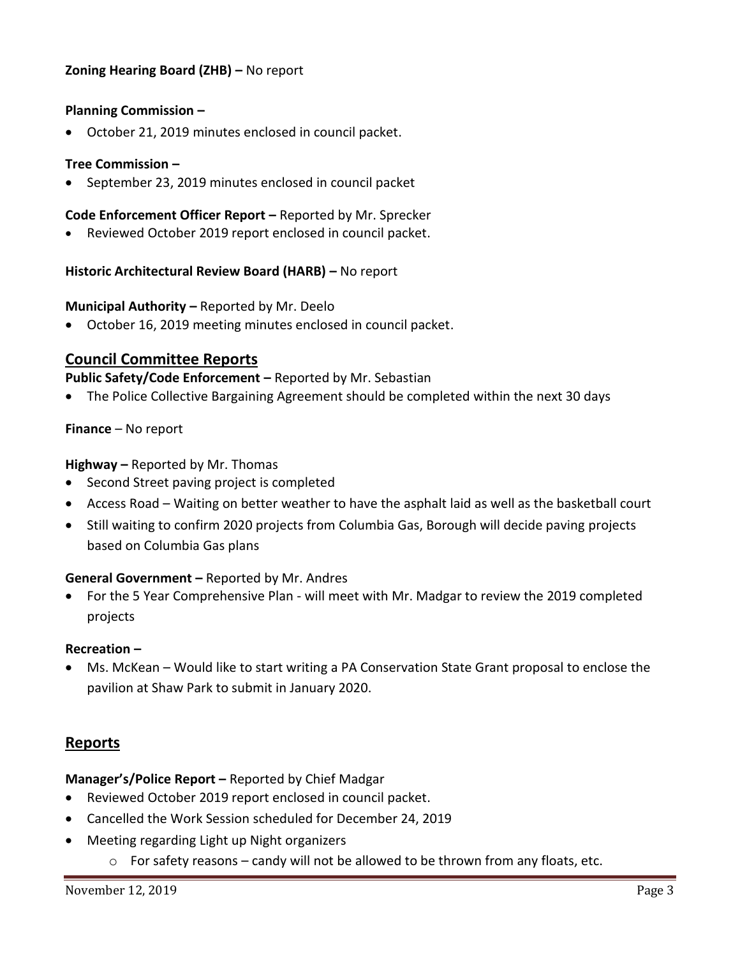# **Zoning Hearing Board (ZHB) –** No report

### **Planning Commission –**

October 21, 2019 minutes enclosed in council packet.

#### **Tree Commission –**

September 23, 2019 minutes enclosed in council packet

#### **Code Enforcement Officer Report –** Reported by Mr. Sprecker

Reviewed October 2019 report enclosed in council packet.

#### **Historic Architectural Review Board (HARB) –** No report

#### **Municipal Authority –** Reported by Mr. Deelo

October 16, 2019 meeting minutes enclosed in council packet.

### **Council Committee Reports**

**Public Safety/Code Enforcement –** Reported by Mr. Sebastian

The Police Collective Bargaining Agreement should be completed within the next 30 days

#### **Finance** – No report

**Highway –** Reported by Mr. Thomas

- Second Street paving project is completed
- Access Road Waiting on better weather to have the asphalt laid as well as the basketball court
- Still waiting to confirm 2020 projects from Columbia Gas, Borough will decide paving projects based on Columbia Gas plans

#### **General Government –** Reported by Mr. Andres

 For the 5 Year Comprehensive Plan - will meet with Mr. Madgar to review the 2019 completed projects

#### **Recreation –**

 Ms. McKean – Would like to start writing a PA Conservation State Grant proposal to enclose the pavilion at Shaw Park to submit in January 2020.

# **Reports**

**Manager's/Police Report –** Reported by Chief Madgar

- Reviewed October 2019 report enclosed in council packet.
- Cancelled the Work Session scheduled for December 24, 2019
- Meeting regarding Light up Night organizers
	- $\circ$  For safety reasons candy will not be allowed to be thrown from any floats, etc.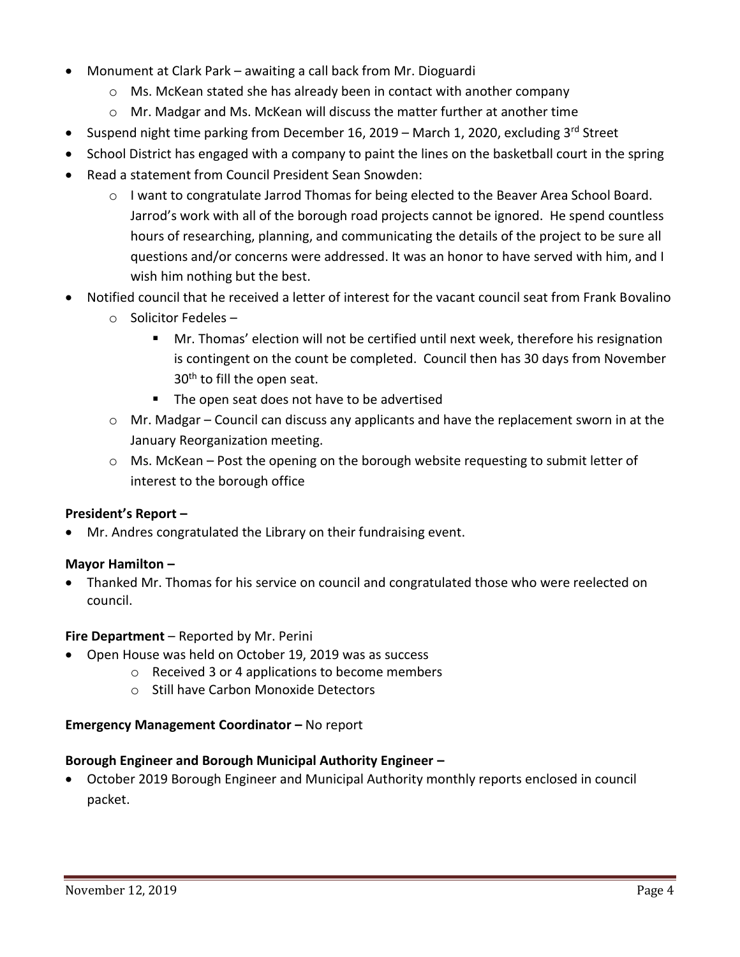- Monument at Clark Park awaiting a call back from Mr. Dioguardi
	- $\circ$  Ms. McKean stated she has already been in contact with another company
	- $\circ$  Mr. Madgar and Ms. McKean will discuss the matter further at another time
- Suspend night time parking from December 16, 2019 March 1, 2020, excluding 3<sup>rd</sup> Street
- School District has engaged with a company to paint the lines on the basketball court in the spring
- Read a statement from Council President Sean Snowden:
	- o I want to congratulate Jarrod Thomas for being elected to the Beaver Area School Board. Jarrod's work with all of the borough road projects cannot be ignored. He spend countless hours of researching, planning, and communicating the details of the project to be sure all questions and/or concerns were addressed. It was an honor to have served with him, and I wish him nothing but the best.
- Notified council that he received a letter of interest for the vacant council seat from Frank Bovalino
	- o Solicitor Fedeles
		- **Mr.** Thomas' election will not be certified until next week, therefore his resignation is contingent on the count be completed. Council then has 30 days from November 30<sup>th</sup> to fill the open seat.
		- The open seat does not have to be advertised
	- $\circ$  Mr. Madgar Council can discuss any applicants and have the replacement sworn in at the January Reorganization meeting.
	- $\circ$  Ms. McKean Post the opening on the borough website requesting to submit letter of interest to the borough office

# **President's Report –**

Mr. Andres congratulated the Library on their fundraising event.

### **Mayor Hamilton –**

 Thanked Mr. Thomas for his service on council and congratulated those who were reelected on council.

### **Fire Department** – Reported by Mr. Perini

- Open House was held on October 19, 2019 was as success
	- o Received 3 or 4 applications to become members
	- o Still have Carbon Monoxide Detectors

### **Emergency Management Coordinator – No report**

### **Borough Engineer and Borough Municipal Authority Engineer –**

 October 2019 Borough Engineer and Municipal Authority monthly reports enclosed in council packet.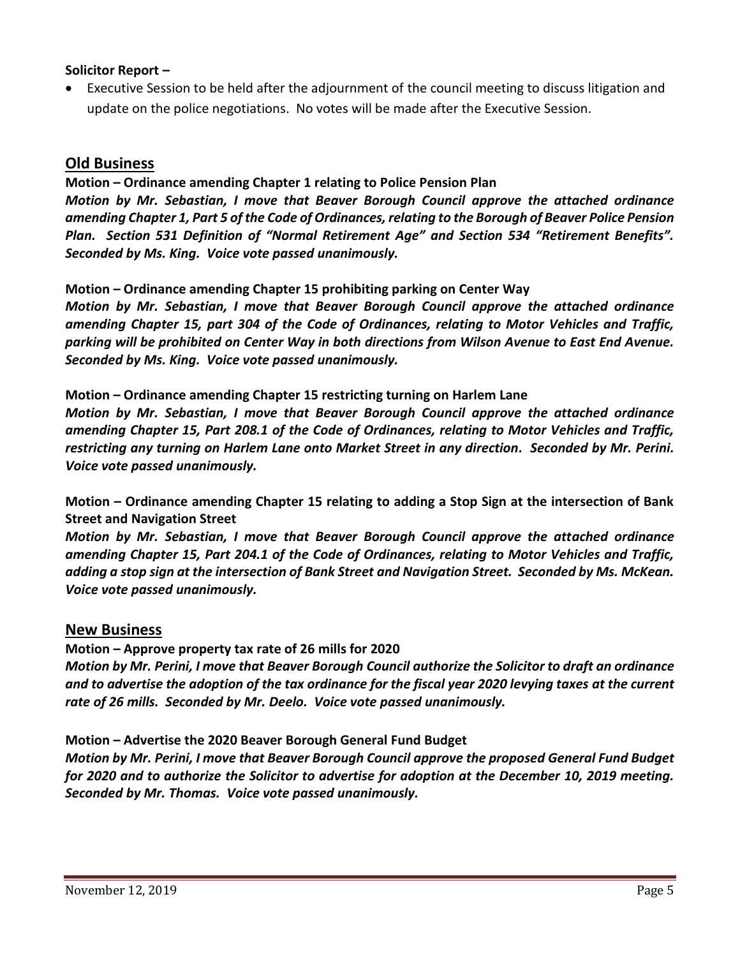### **Solicitor Report –**

 Executive Session to be held after the adjournment of the council meeting to discuss litigation and update on the police negotiations. No votes will be made after the Executive Session.

# **Old Business**

**Motion – Ordinance amending Chapter 1 relating to Police Pension Plan** *Motion by Mr. Sebastian, I move that Beaver Borough Council approve the attached ordinance amending Chapter 1, Part 5 of the Code of Ordinances, relating to the Borough of Beaver Police Pension Plan. Section 531 Definition of "Normal Retirement Age" and Section 534 "Retirement Benefits". Seconded by Ms. King. Voice vote passed unanimously.*

### **Motion – Ordinance amending Chapter 15 prohibiting parking on Center Way**

*Motion by Mr. Sebastian, I move that Beaver Borough Council approve the attached ordinance amending Chapter 15, part 304 of the Code of Ordinances, relating to Motor Vehicles and Traffic, parking will be prohibited on Center Way in both directions from Wilson Avenue to East End Avenue. Seconded by Ms. King. Voice vote passed unanimously.*

### **Motion – Ordinance amending Chapter 15 restricting turning on Harlem Lane**

*Motion by Mr. Sebastian, I move that Beaver Borough Council approve the attached ordinance amending Chapter 15, Part 208.1 of the Code of Ordinances, relating to Motor Vehicles and Traffic, restricting any turning on Harlem Lane onto Market Street in any direction. Seconded by Mr. Perini. Voice vote passed unanimously.*

**Motion – Ordinance amending Chapter 15 relating to adding a Stop Sign at the intersection of Bank Street and Navigation Street**

*Motion by Mr. Sebastian, I move that Beaver Borough Council approve the attached ordinance amending Chapter 15, Part 204.1 of the Code of Ordinances, relating to Motor Vehicles and Traffic, adding a stop sign at the intersection of Bank Street and Navigation Street. Seconded by Ms. McKean. Voice vote passed unanimously.*

# **New Business**

**Motion – Approve property tax rate of 26 mills for 2020**

*Motion by Mr. Perini, I move that Beaver Borough Council authorize the Solicitor to draft an ordinance and to advertise the adoption of the tax ordinance for the fiscal year 2020 levying taxes at the current rate of 26 mills. Seconded by Mr. Deelo. Voice vote passed unanimously.*

### **Motion – Advertise the 2020 Beaver Borough General Fund Budget**

*Motion by Mr. Perini, I move that Beaver Borough Council approve the proposed General Fund Budget for 2020 and to authorize the Solicitor to advertise for adoption at the December 10, 2019 meeting. Seconded by Mr. Thomas. Voice vote passed unanimously.*